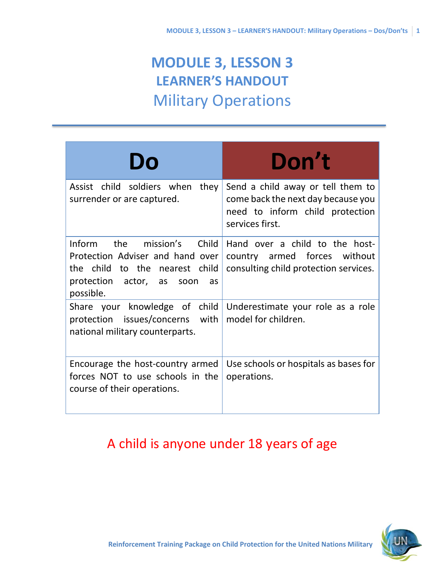# **MODULE 3, LESSON 3 LEARNER'S HANDOUT** Military Operations

| Do                                                                                                                                               | Don't                                                                                                                         |
|--------------------------------------------------------------------------------------------------------------------------------------------------|-------------------------------------------------------------------------------------------------------------------------------|
| Assist child soldiers when<br>they<br>surrender or are captured.                                                                                 | Send a child away or tell them to<br>come back the next day because you<br>need to inform child protection<br>services first. |
| Inform the mission's Child<br>Protection Adviser and hand over<br>the child to the nearest child<br>protection actor, as soon<br>as<br>possible. | Hand over a child to the host-<br>country armed forces without<br>consulting child protection services.                       |
| Share your knowledge of child<br>protection issues/concerns with<br>national military counterparts.                                              | Underestimate your role as a role<br>model for children.                                                                      |
| Encourage the host-country armed<br>forces NOT to use schools in the<br>course of their operations.                                              | Use schools or hospitals as bases for<br>operations.                                                                          |

### A child is anyone under 18 years of age

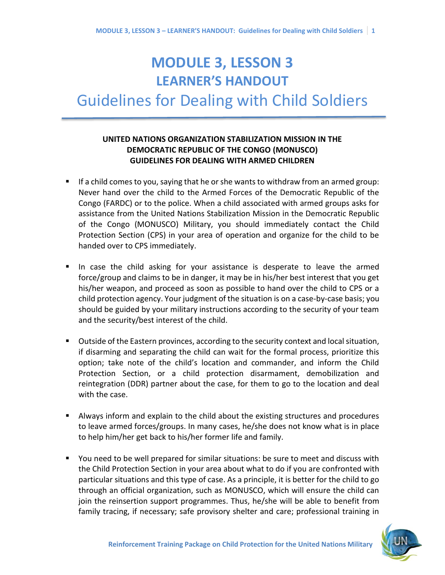### **MODULE 3, LESSON 3 LEARNER'S HANDOUT**

## Guidelines for Dealing with Child Soldiers

#### **UNITED NATIONS ORGANIZATION STABILIZATION MISSION IN THE DEMOCRATIC REPUBLIC OF THE CONGO (MONUSCO) GUIDELINES FOR DEALING WITH ARMED CHILDREN**

- If a child comes to you, saying that he or she wants to withdraw from an armed group: Never hand over the child to the Armed Forces of the Democratic Republic of the Congo (FARDC) or to the police. When a child associated with armed groups asks for assistance from the United Nations Stabilization Mission in the Democratic Republic of the Congo (MONUSCO) Military, you should immediately contact the Child Protection Section (CPS) in your area of operation and organize for the child to be handed over to CPS immediately.
- In case the child asking for your assistance is desperate to leave the armed force/group and claims to be in danger, it may be in his/her best interest that you get his/her weapon, and proceed as soon as possible to hand over the child to CPS or a child protection agency. Your judgment of the situation is on a case-by-case basis; you should be guided by your military instructions according to the security of your team and the security/best interest of the child.
- Outside of the Eastern provinces, according to the security context and local situation, if disarming and separating the child can wait for the formal process, prioritize this option; take note of the child's location and commander, and inform the Child Protection Section, or a child protection disarmament, demobilization and reintegration (DDR) partner about the case, for them to go to the location and deal with the case.
- Always inform and explain to the child about the existing structures and procedures to leave armed forces/groups. In many cases, he/she does not know what is in place to help him/her get back to his/her former life and family.
- You need to be well prepared for similar situations: be sure to meet and discuss with the Child Protection Section in your area about what to do if you are confronted with particular situations and this type of case. As a principle, it is better for the child to go through an official organization, such as MONUSCO, which will ensure the child can join the reinsertion support programmes. Thus, he/she will be able to benefit from family tracing, if necessary; safe provisory shelter and care; professional training in